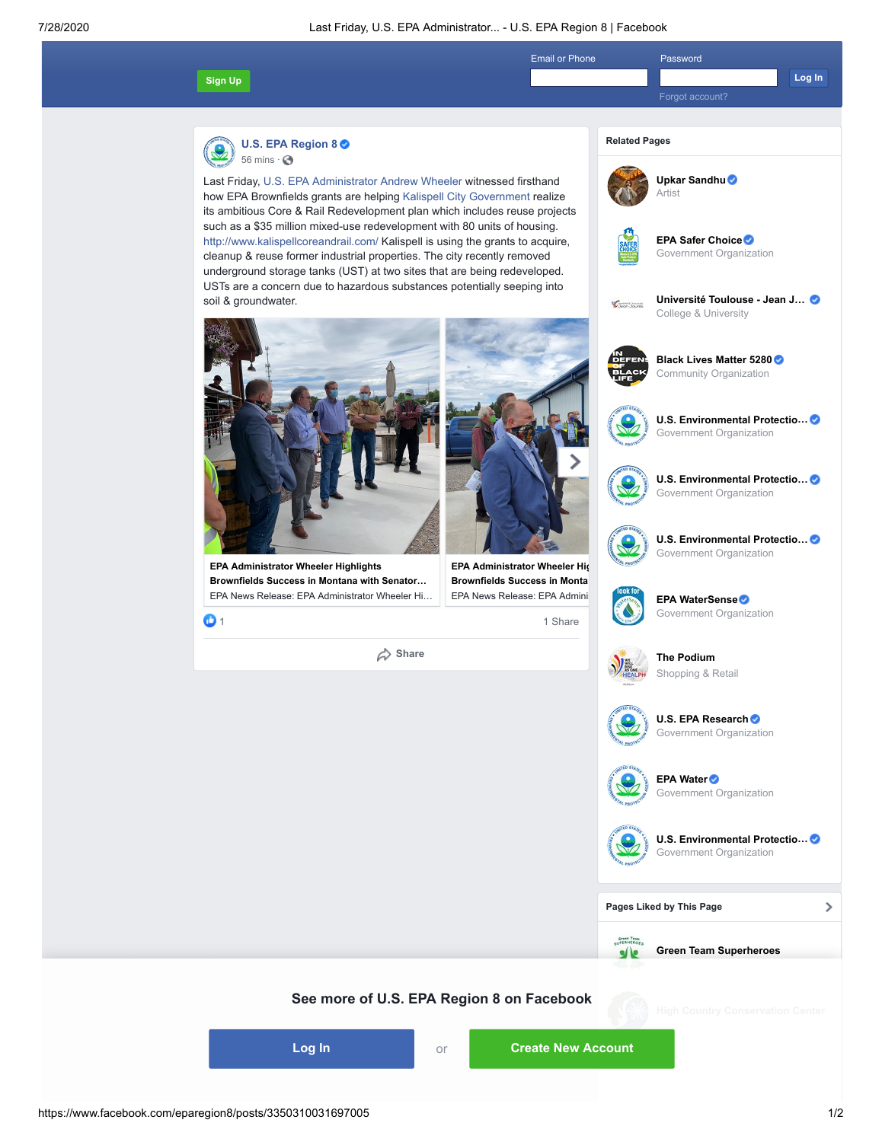